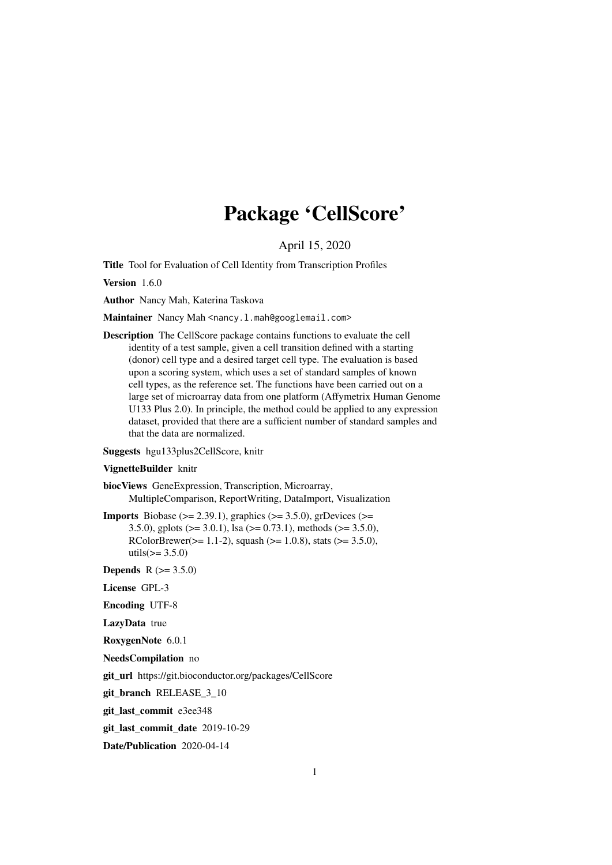# Package 'CellScore'

April 15, 2020

<span id="page-0-0"></span>Title Tool for Evaluation of Cell Identity from Transcription Profiles

Version 1.6.0

Author Nancy Mah, Katerina Taskova

Maintainer Nancy Mah <nancy.l.mah@googlemail.com>

Description The CellScore package contains functions to evaluate the cell identity of a test sample, given a cell transition defined with a starting (donor) cell type and a desired target cell type. The evaluation is based upon a scoring system, which uses a set of standard samples of known cell types, as the reference set. The functions have been carried out on a large set of microarray data from one platform (Affymetrix Human Genome U133 Plus 2.0). In principle, the method could be applied to any expression dataset, provided that there are a sufficient number of standard samples and that the data are normalized.

Suggests hgu133plus2CellScore, knitr

#### VignetteBuilder knitr

biocViews GeneExpression, Transcription, Microarray, MultipleComparison, ReportWriting, DataImport, Visualization

**Imports** Biobase ( $>= 2.39.1$ ), graphics ( $>= 3.5.0$ ), grDevices ( $>=$ 3.5.0), gplots ( $>= 3.0.1$ ), lsa ( $>= 0.73.1$ ), methods ( $>= 3.5.0$ ), RColorBrewer( $>= 1.1-2$ ), squash ( $>= 1.0.8$ ), stats ( $>= 3.5.0$ ), utils( $>= 3.5.0$ )

**Depends**  $R (= 3.5.0)$ 

License GPL-3

Encoding UTF-8

LazyData true

RoxygenNote 6.0.1

NeedsCompilation no

git\_url https://git.bioconductor.org/packages/CellScore

git branch RELEASE 3 10

git\_last\_commit e3ee348

git\_last\_commit\_date 2019-10-29

Date/Publication 2020-04-14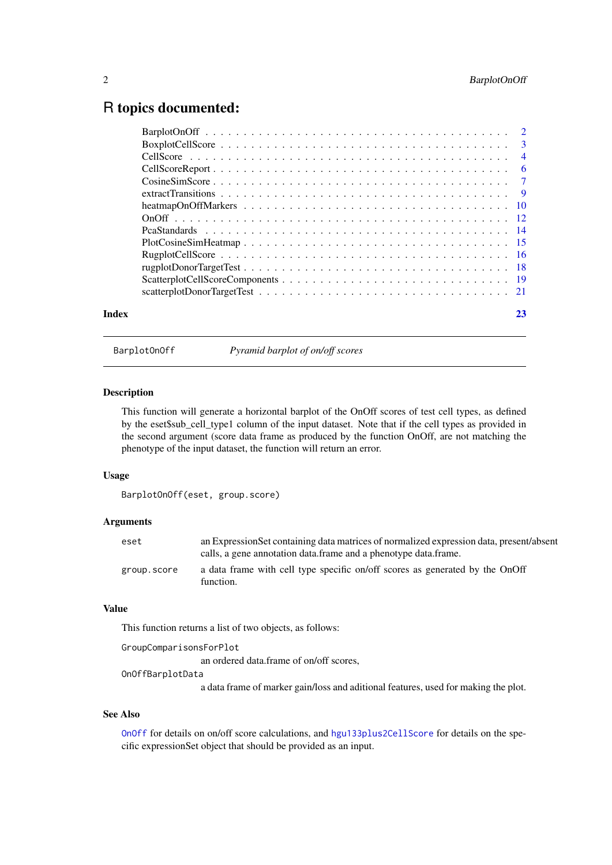# <span id="page-1-0"></span>R topics documented:

| Index | 23 |
|-------|----|

BarplotOnOff *Pyramid barplot of on/off scores*

# Description

This function will generate a horizontal barplot of the OnOff scores of test cell types, as defined by the eset\$sub\_cell\_type1 column of the input dataset. Note that if the cell types as provided in the second argument (score data frame as produced by the function OnOff, are not matching the phenotype of the input dataset, the function will return an error.

#### Usage

BarplotOnOff(eset, group.score)

# Arguments

| eset        | an Expression Set containing data matrices of normalized expression data, present/absent<br>calls, a gene annotation data frame and a phenotype data frame. |
|-------------|-------------------------------------------------------------------------------------------------------------------------------------------------------------|
| group.score | a data frame with cell type specific on/off scores as generated by the OnOff<br>function.                                                                   |

# Value

This function returns a list of two objects, as follows:

```
GroupComparisonsForPlot
                  an ordered data.frame of on/off scores,
OnOffBarplotData
                  a data frame of marker gain/loss and aditional features, used for making the plot.
```
# See Also

[OnOff](#page-11-1) for details on on/off score calculations, and [hgu133plus2CellScore](#page-0-0) for details on the specific expressionSet object that should be provided as an input.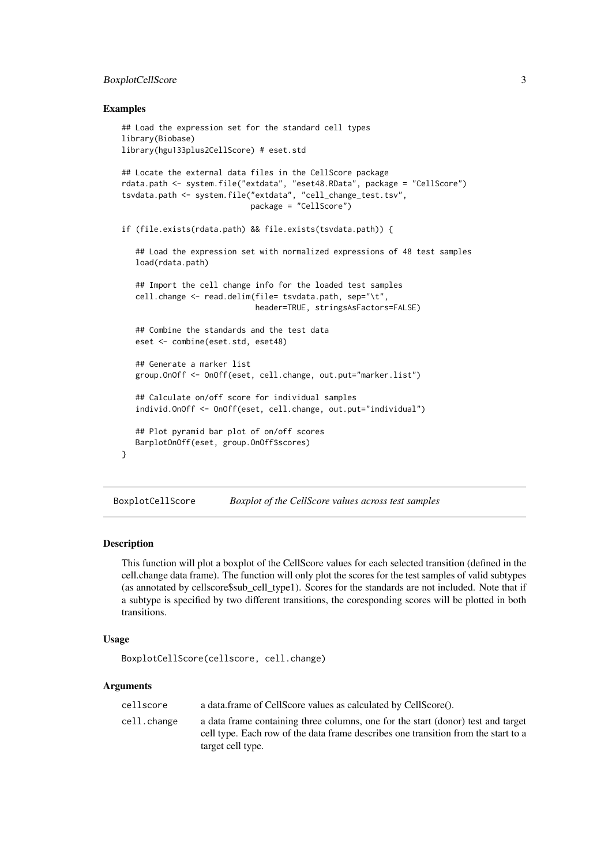#### <span id="page-2-0"></span>BoxplotCellScore 3

#### Examples

```
## Load the expression set for the standard cell types
library(Biobase)
library(hgu133plus2CellScore) # eset.std
## Locate the external data files in the CellScore package
rdata.path <- system.file("extdata", "eset48.RData", package = "CellScore")
tsvdata.path <- system.file("extdata", "cell_change_test.tsv",
                            package = "CellScore")
if (file.exists(rdata.path) && file.exists(tsvdata.path)) {
   ## Load the expression set with normalized expressions of 48 test samples
   load(rdata.path)
   ## Import the cell change info for the loaded test samples
   cell.change <- read.delim(file= tsvdata.path, sep="\t",
                             header=TRUE, stringsAsFactors=FALSE)
   ## Combine the standards and the test data
   eset <- combine(eset.std, eset48)
   ## Generate a marker list
   group.OnOff <- OnOff(eset, cell.change, out.put="marker.list")
   ## Calculate on/off score for individual samples
   individ.OnOff <- OnOff(eset, cell.change, out.put="individual")
   ## Plot pyramid bar plot of on/off scores
   BarplotOnOff(eset, group.OnOff$scores)
}
```
BoxplotCellScore *Boxplot of the CellScore values across test samples*

#### Description

This function will plot a boxplot of the CellScore values for each selected transition (defined in the cell.change data frame). The function will only plot the scores for the test samples of valid subtypes (as annotated by cellscore\$sub\_cell\_type1). Scores for the standards are not included. Note that if a subtype is specified by two different transitions, the coresponding scores will be plotted in both transitions.

## Usage

```
BoxplotCellScore(cellscore, cell.change)
```
# Arguments

| cellscore   | a data.frame of CellScore values as calculated by CellScore().                                                                                                                              |
|-------------|---------------------------------------------------------------------------------------------------------------------------------------------------------------------------------------------|
| cell.change | a data frame containing three columns, one for the start (donor) test and target<br>cell type. Each row of the data frame describes one transition from the start to a<br>target cell type. |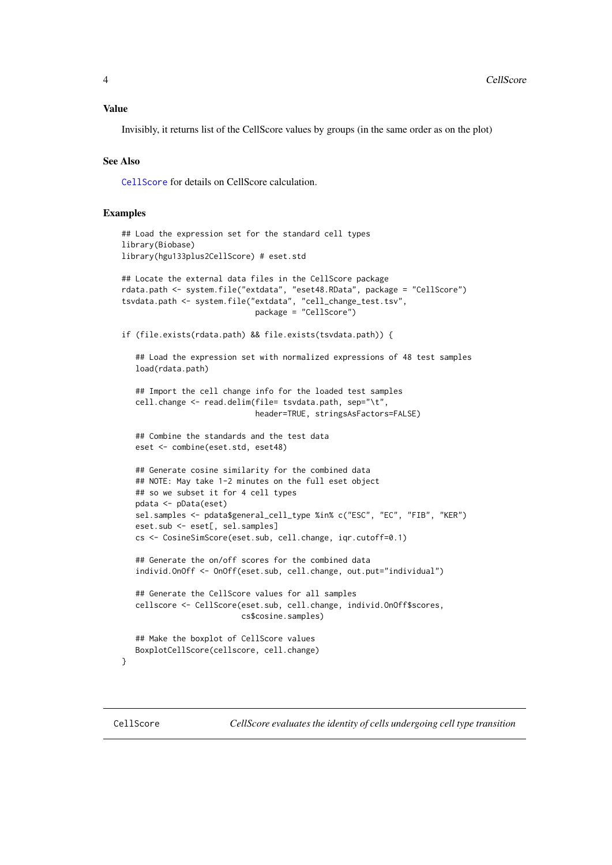#### <span id="page-3-0"></span>Value

Invisibly, it returns list of the CellScore values by groups (in the same order as on the plot)

#### See Also

[CellScore](#page-3-1) for details on CellScore calculation.

## Examples

```
## Load the expression set for the standard cell types
library(Biobase)
library(hgu133plus2CellScore) # eset.std
## Locate the external data files in the CellScore package
rdata.path <- system.file("extdata", "eset48.RData", package = "CellScore")
tsvdata.path <- system.file("extdata", "cell_change_test.tsv",
                             package = "CellScore")
if (file.exists(rdata.path) && file.exists(tsvdata.path)) {
   ## Load the expression set with normalized expressions of 48 test samples
   load(rdata.path)
   ## Import the cell change info for the loaded test samples
   cell.change <- read.delim(file= tsvdata.path, sep="\t",
                             header=TRUE, stringsAsFactors=FALSE)
   ## Combine the standards and the test data
   eset <- combine(eset.std, eset48)
   ## Generate cosine similarity for the combined data
   ## NOTE: May take 1-2 minutes on the full eset object
   ## so we subset it for 4 cell types
   pdata <- pData(eset)
   sel.samples <- pdata$general_cell_type %in% c("ESC", "EC", "FIB", "KER")
   eset.sub <- eset[, sel.samples]
   cs <- CosineSimScore(eset.sub, cell.change, iqr.cutoff=0.1)
   ## Generate the on/off scores for the combined data
   individ.OnOff <- OnOff(eset.sub, cell.change, out.put="individual")
   ## Generate the CellScore values for all samples
   cellscore <- CellScore(eset.sub, cell.change, individ.OnOff$scores,
                          cs$cosine.samples)
   ## Make the boxplot of CellScore values
   BoxplotCellScore(cellscore, cell.change)
}
```
<span id="page-3-1"></span>CellScore *CellScore evaluates the identity of cells undergoing cell type transition*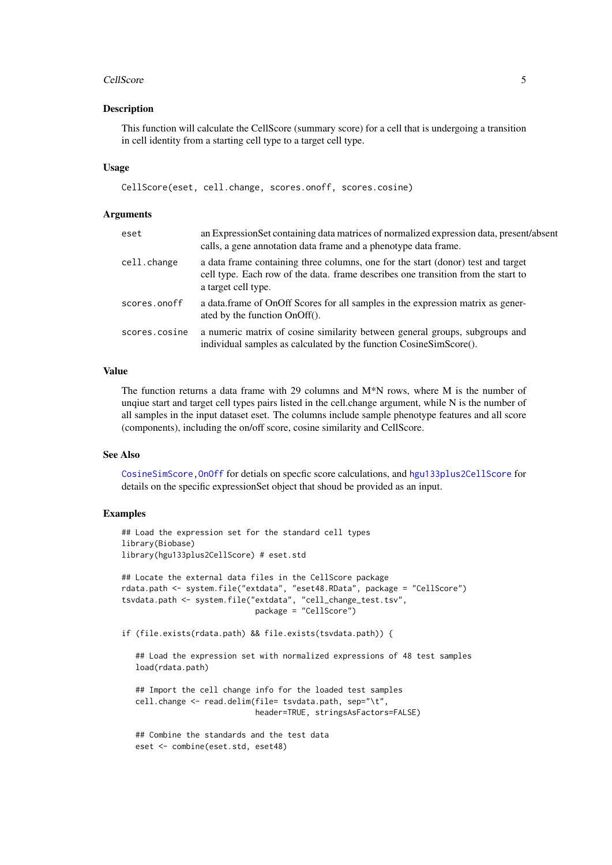#### <span id="page-4-0"></span>CellScore 5

#### Description

This function will calculate the CellScore (summary score) for a cell that is undergoing a transition in cell identity from a starting cell type to a target cell type.

# Usage

CellScore(eset, cell.change, scores.onoff, scores.cosine)

#### Arguments

| eset          | an ExpressionSet containing data matrices of normalized expression data, present/absent<br>calls, a gene annotation data frame and a phenotype data frame.                                   |
|---------------|----------------------------------------------------------------------------------------------------------------------------------------------------------------------------------------------|
| cell.change   | a data frame containing three columns, one for the start (donor) test and target<br>cell type. Each row of the data. frame describes one transition from the start to<br>a target cell type. |
| scores.onoff  | a data frame of OnOff Scores for all samples in the expression matrix as gener-<br>ated by the function OnOff().                                                                             |
| scores.cosine | a numeric matrix of cosine similarity between general groups, subgroups and<br>individual samples as calculated by the function CosineSimScore().                                            |

#### Value

The function returns a data frame with 29 columns and M\*N rows, where M is the number of unqiue start and target cell types pairs listed in the cell.change argument, while N is the number of all samples in the input dataset eset. The columns include sample phenotype features and all score (components), including the on/off score, cosine similarity and CellScore.

#### See Also

[CosineSimScore](#page-6-1)[,OnOff](#page-11-1) for detials on specfic score calculations, and [hgu133plus2CellScore](#page-0-0) for details on the specific expressionSet object that shoud be provided as an input.

```
## Load the expression set for the standard cell types
library(Biobase)
library(hgu133plus2CellScore) # eset.std
## Locate the external data files in the CellScore package
rdata.path <- system.file("extdata", "eset48.RData", package = "CellScore")
tsvdata.path <- system.file("extdata", "cell_change_test.tsv",
                             package = "CellScore")
if (file.exists(rdata.path) && file.exists(tsvdata.path)) {
   ## Load the expression set with normalized expressions of 48 test samples
   load(rdata.path)
   ## Import the cell change info for the loaded test samples
   cell.change <- read.delim(file= tsvdata.path, sep="\t",
                             header=TRUE, stringsAsFactors=FALSE)
   ## Combine the standards and the test data
   eset <- combine(eset.std, eset48)
```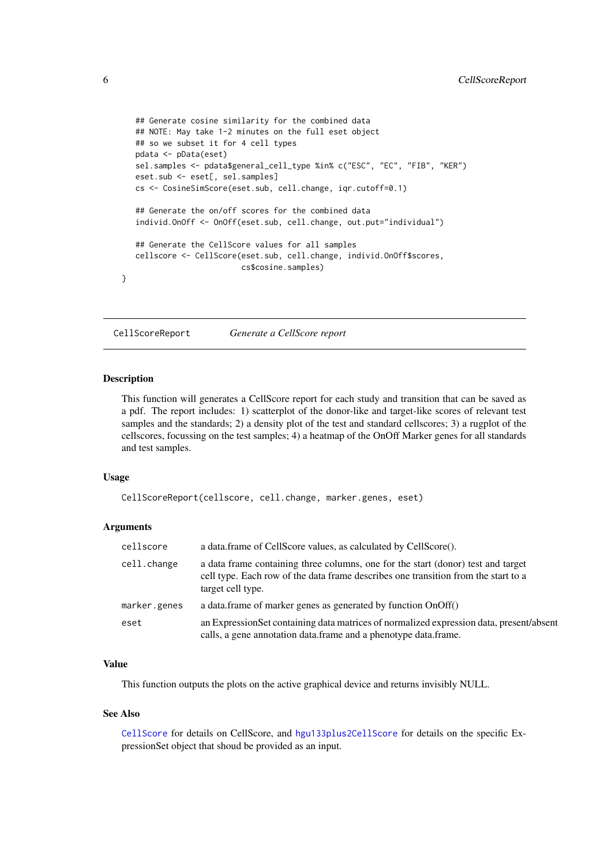```
## Generate cosine similarity for the combined data
## NOTE: May take 1-2 minutes on the full eset object
## so we subset it for 4 cell types
pdata <- pData(eset)
sel.samples <- pdata$general_cell_type %in% c("ESC", "EC", "FIB", "KER")
eset.sub <- eset[, sel.samples]
cs <- CosineSimScore(eset.sub, cell.change, iqr.cutoff=0.1)
## Generate the on/off scores for the combined data
individ.OnOff <- OnOff(eset.sub, cell.change, out.put="individual")
## Generate the CellScore values for all samples
cellscore <- CellScore(eset.sub, cell.change, individ.OnOff$scores,
                      cs$cosine.samples)
```
CellScoreReport *Generate a CellScore report*

# Description

}

This function will generates a CellScore report for each study and transition that can be saved as a pdf. The report includes: 1) scatterplot of the donor-like and target-like scores of relevant test samples and the standards; 2) a density plot of the test and standard cellscores; 3) a rugplot of the cellscores, focussing on the test samples; 4) a heatmap of the OnOff Marker genes for all standards and test samples.

#### Usage

```
CellScoreReport(cellscore, cell.change, marker.genes, eset)
```
# Arguments

| cellscore    | a data.frame of CellScore values, as calculated by CellScore().                                                                                                                             |
|--------------|---------------------------------------------------------------------------------------------------------------------------------------------------------------------------------------------|
| cell.change  | a data frame containing three columns, one for the start (donor) test and target<br>cell type. Each row of the data frame describes one transition from the start to a<br>target cell type. |
| marker.genes | a data.frame of marker genes as generated by function OnOff()                                                                                                                               |
| eset         | an Expression Set containing data matrices of normalized expression data, present/absent<br>calls, a gene annotation data.frame and a phenotype data.frame.                                 |

# Value

This function outputs the plots on the active graphical device and returns invisibly NULL.

### See Also

[CellScore](#page-3-1) for details on CellScore, and [hgu133plus2CellScore](#page-0-0) for details on the specific ExpressionSet object that shoud be provided as an input.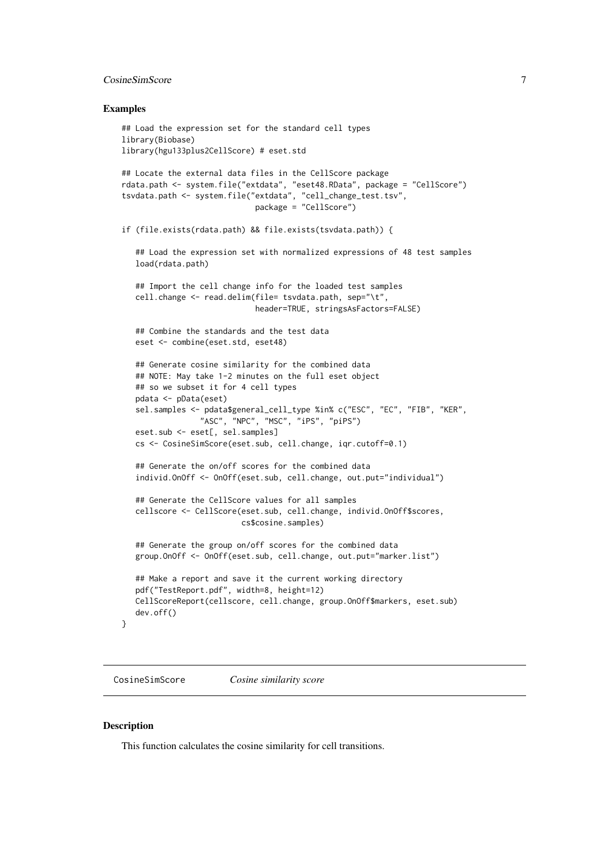#### <span id="page-6-0"></span>CosineSimScore 7

#### Examples

```
## Load the expression set for the standard cell types
library(Biobase)
library(hgu133plus2CellScore) # eset.std
## Locate the external data files in the CellScore package
rdata.path <- system.file("extdata", "eset48.RData", package = "CellScore")
tsvdata.path <- system.file("extdata", "cell_change_test.tsv",
                             package = "CellScore")
if (file.exists(rdata.path) && file.exists(tsvdata.path)) {
   ## Load the expression set with normalized expressions of 48 test samples
   load(rdata.path)
   ## Import the cell change info for the loaded test samples
   cell.change <- read.delim(file= tsvdata.path, sep="\t",
                             header=TRUE, stringsAsFactors=FALSE)
   ## Combine the standards and the test data
   eset <- combine(eset.std, eset48)
   ## Generate cosine similarity for the combined data
   ## NOTE: May take 1-2 minutes on the full eset object
   ## so we subset it for 4 cell types
   pdata <- pData(eset)
   sel.samples <- pdata$general_cell_type %in% c("ESC", "EC", "FIB", "KER",
                 "ASC", "NPC", "MSC", "iPS", "piPS")
   eset.sub <- eset[, sel.samples]
   cs <- CosineSimScore(eset.sub, cell.change, iqr.cutoff=0.1)
   ## Generate the on/off scores for the combined data
   individ.OnOff <- OnOff(eset.sub, cell.change, out.put="individual")
   ## Generate the CellScore values for all samples
   cellscore <- CellScore(eset.sub, cell.change, individ.OnOff$scores,
                          cs$cosine.samples)
   ## Generate the group on/off scores for the combined data
   group.OnOff <- OnOff(eset.sub, cell.change, out.put="marker.list")
   ## Make a report and save it the current working directory
   pdf("TestReport.pdf", width=8, height=12)
   CellScoreReport(cellscore, cell.change, group.OnOff$markers, eset.sub)
   dev.off()
```
<span id="page-6-1"></span>CosineSimScore *Cosine similarity score*

#### Description

}

This function calculates the cosine similarity for cell transitions.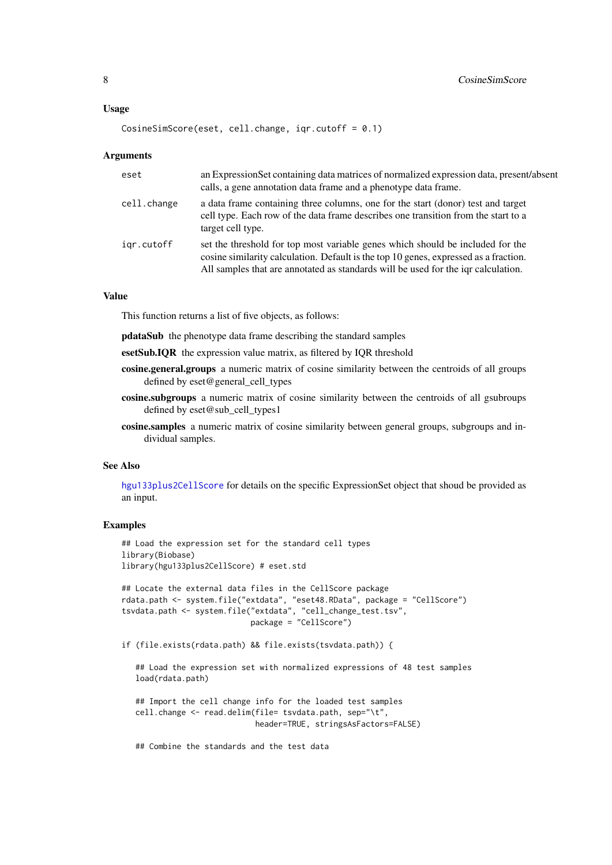#### <span id="page-7-0"></span>Usage

```
CosineSimScore(eset, cell.change, iqr.cutoff = 0.1)
```
#### Arguments

| eset        | an Expression Set containing data matrices of normalized expression data, present/absent<br>calls, a gene annotation data frame and a phenotype data frame.                                                                                                 |
|-------------|-------------------------------------------------------------------------------------------------------------------------------------------------------------------------------------------------------------------------------------------------------------|
| cell.change | a data frame containing three columns, one for the start (donor) test and target<br>cell type. Each row of the data frame describes one transition from the start to a<br>target cell type.                                                                 |
| igr.cutoff  | set the threshold for top most variable genes which should be included for the<br>cosine similarity calculation. Default is the top 10 genes, expressed as a fraction.<br>All samples that are annotated as standards will be used for the igr calculation. |

#### Value

This function returns a list of five objects, as follows:

pdataSub the phenotype data frame describing the standard samples

- esetSub.IQR the expression value matrix, as filtered by IQR threshold
- cosine.general.groups a numeric matrix of cosine similarity between the centroids of all groups defined by eset@general\_cell\_types
- cosine.subgroups a numeric matrix of cosine similarity between the centroids of all gsubroups defined by eset@sub\_cell\_types1
- cosine.samples a numeric matrix of cosine similarity between general groups, subgroups and individual samples.

# See Also

[hgu133plus2CellScore](#page-0-0) for details on the specific ExpressionSet object that shoud be provided as an input.

# Examples

```
## Load the expression set for the standard cell types
library(Biobase)
library(hgu133plus2CellScore) # eset.std
```

```
## Locate the external data files in the CellScore package
rdata.path <- system.file("extdata", "eset48.RData", package = "CellScore")
tsvdata.path <- system.file("extdata", "cell_change_test.tsv",
                            package = "CellScore")
```
if (file.exists(rdata.path) && file.exists(tsvdata.path)) {

## Load the expression set with normalized expressions of 48 test samples load(rdata.path)

## Import the cell change info for the loaded test samples cell.change <- read.delim(file= tsvdata.path, sep="\t", header=TRUE, stringsAsFactors=FALSE)

## Combine the standards and the test data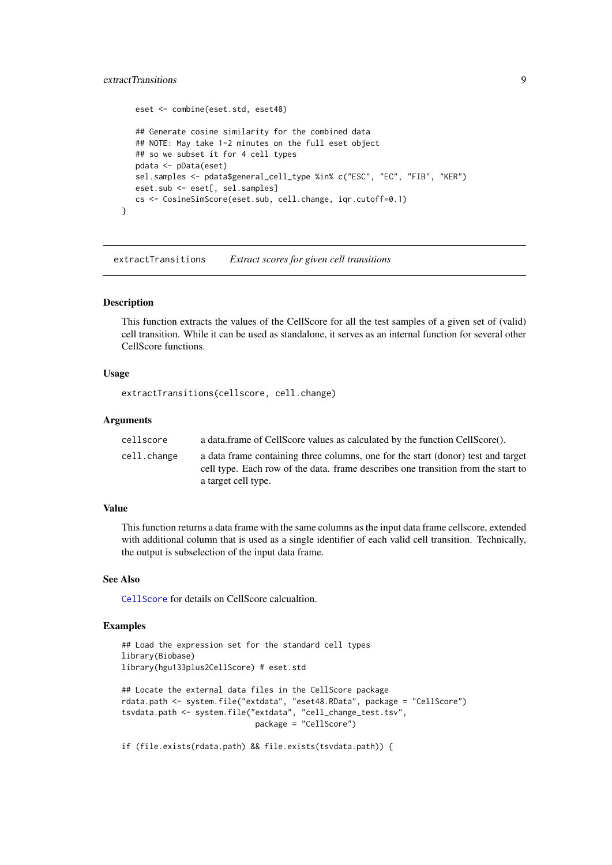#### <span id="page-8-0"></span>extractTransitions 9

```
eset <- combine(eset.std, eset48)
   ## Generate cosine similarity for the combined data
   ## NOTE: May take 1-2 minutes on the full eset object
   ## so we subset it for 4 cell types
   pdata <- pData(eset)
   sel.samples <- pdata$general_cell_type %in% c("ESC", "EC", "FIB", "KER")
   eset.sub <- eset[, sel.samples]
   cs <- CosineSimScore(eset.sub, cell.change, iqr.cutoff=0.1)
}
```
extractTransitions *Extract scores for given cell transitions*

#### Description

This function extracts the values of the CellScore for all the test samples of a given set of (valid) cell transition. While it can be used as standalone, it serves as an internal function for several other CellScore functions.

#### Usage

```
extractTransitions(cellscore, cell.change)
```
#### Arguments

| cellscore   | a data.frame of CellScore values as calculated by the function CellScore().                                                                                                                  |
|-------------|----------------------------------------------------------------------------------------------------------------------------------------------------------------------------------------------|
| cell.change | a data frame containing three columns, one for the start (donor) test and target<br>cell type. Each row of the data, frame describes one transition from the start to<br>a target cell type. |

# Value

This function returns a data frame with the same columns as the input data frame cellscore, extended with additional column that is used as a single identifier of each valid cell transition. Technically, the output is subselection of the input data frame.

# See Also

[CellScore](#page-3-1) for details on CellScore calcualtion.

```
## Load the expression set for the standard cell types
library(Biobase)
library(hgu133plus2CellScore) # eset.std
## Locate the external data files in the CellScore package
rdata.path <- system.file("extdata", "eset48.RData", package = "CellScore")
tsvdata.path <- system.file("extdata", "cell_change_test.tsv",
                             package = "CellScore")
if (file.exists(rdata.path) && file.exists(tsvdata.path)) {
```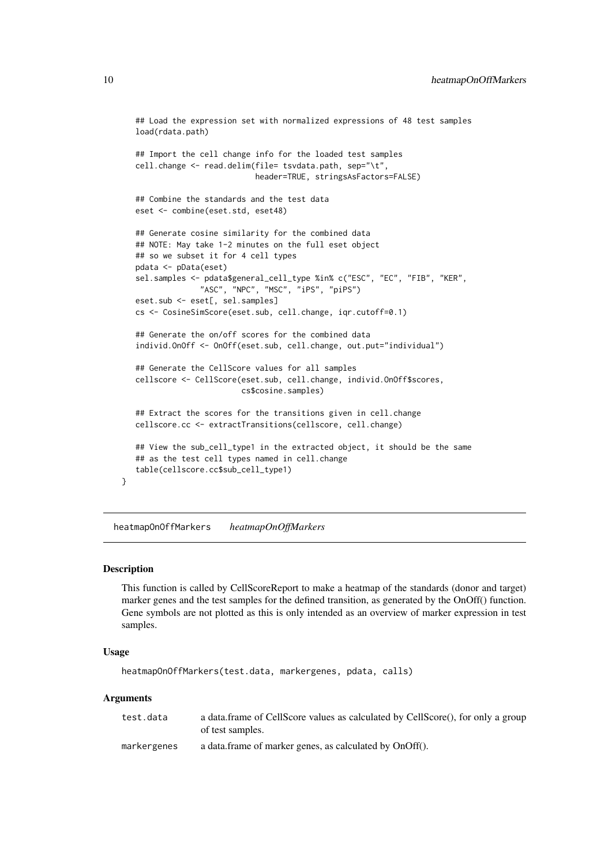```
## Load the expression set with normalized expressions of 48 test samples
load(rdata.path)
## Import the cell change info for the loaded test samples
cell.change <- read.delim(file= tsvdata.path, sep="\t",
                          header=TRUE, stringsAsFactors=FALSE)
## Combine the standards and the test data
eset <- combine(eset.std, eset48)
## Generate cosine similarity for the combined data
## NOTE: May take 1-2 minutes on the full eset object
## so we subset it for 4 cell types
pdata <- pData(eset)
sel.samples <- pdata$general_cell_type %in% c("ESC", "EC", "FIB", "KER",
              "ASC", "NPC", "MSC", "iPS", "piPS")
eset.sub <- eset[, sel.samples]
cs <- CosineSimScore(eset.sub, cell.change, iqr.cutoff=0.1)
## Generate the on/off scores for the combined data
individ.OnOff <- OnOff(eset.sub, cell.change, out.put="individual")
## Generate the CellScore values for all samples
cellscore <- CellScore(eset.sub, cell.change, individ.OnOff$scores,
                       cs$cosine.samples)
## Extract the scores for the transitions given in cell.change
cellscore.cc <- extractTransitions(cellscore, cell.change)
## View the sub cell type1 in the extracted object, it should be the same
## as the test cell types named in cell.change
table(cellscore.cc$sub_cell_type1)
```
heatmapOnOffMarkers *heatmapOnOffMarkers*

#### Description

}

This function is called by CellScoreReport to make a heatmap of the standards (donor and target) marker genes and the test samples for the defined transition, as generated by the OnOff() function. Gene symbols are not plotted as this is only intended as an overview of marker expression in test samples.

# Usage

```
heatmapOnOffMarkers(test.data, markergenes, pdata, calls)
```
# Arguments

| test.data   | a data.frame of CellScore values as calculated by CellScore(), for only a group<br>of test samples. |
|-------------|-----------------------------------------------------------------------------------------------------|
| markergenes | a data.frame of marker genes, as calculated by OnOff().                                             |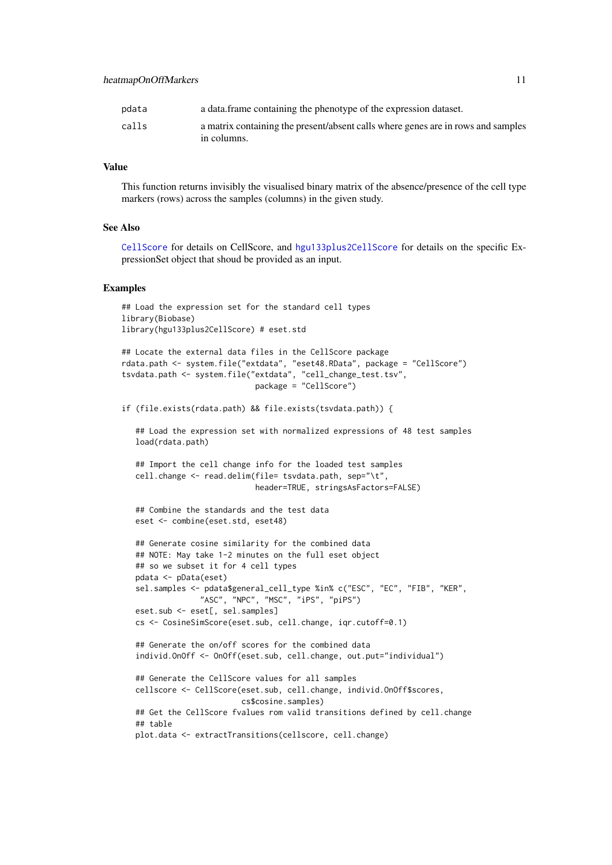#### <span id="page-10-0"></span>heatmapOnOffMarkers 11

| pdata | a data frame containing the phenotype of the expression dataset.                                |
|-------|-------------------------------------------------------------------------------------------------|
| calls | a matrix containing the present/absent calls where genes are in rows and samples<br>in columns. |

#### Value

This function returns invisibly the visualised binary matrix of the absence/presence of the cell type markers (rows) across the samples (columns) in the given study.

#### See Also

[CellScore](#page-3-1) for details on CellScore, and [hgu133plus2CellScore](#page-0-0) for details on the specific ExpressionSet object that shoud be provided as an input.

#### Examples

```
## Load the expression set for the standard cell types
library(Biobase)
library(hgu133plus2CellScore) # eset.std
```

```
## Locate the external data files in the CellScore package
rdata.path <- system.file("extdata", "eset48.RData", package = "CellScore")
tsvdata.path <- system.file("extdata", "cell_change_test.tsv",
                             package = "CellScore")
```
if (file.exists(rdata.path) && file.exists(tsvdata.path)) {

## Load the expression set with normalized expressions of 48 test samples load(rdata.path)

```
## Import the cell change info for the loaded test samples
cell.change <- read.delim(file= tsvdata.path, sep="\t",
                          header=TRUE, stringsAsFactors=FALSE)
```

```
## Combine the standards and the test data
eset <- combine(eset.std, eset48)
```

```
## Generate cosine similarity for the combined data
## NOTE: May take 1-2 minutes on the full eset object
## so we subset it for 4 cell types
pdata <- pData(eset)
sel.samples <- pdata$general_cell_type %in% c("ESC", "EC", "FIB", "KER",
              "ASC", "NPC", "MSC", "iPS", "piPS")
eset.sub <- eset[, sel.samples]
cs <- CosineSimScore(eset.sub, cell.change, iqr.cutoff=0.1)
```

```
## Generate the on/off scores for the combined data
individ.OnOff <- OnOff(eset.sub, cell.change, out.put="individual")
```

```
## Generate the CellScore values for all samples
cellscore <- CellScore(eset.sub, cell.change, individ.OnOff$scores,
                       cs$cosine.samples)
## Get the CellScore fvalues rom valid transitions defined by cell.change
## table
plot.data <- extractTransitions(cellscore, cell.change)
```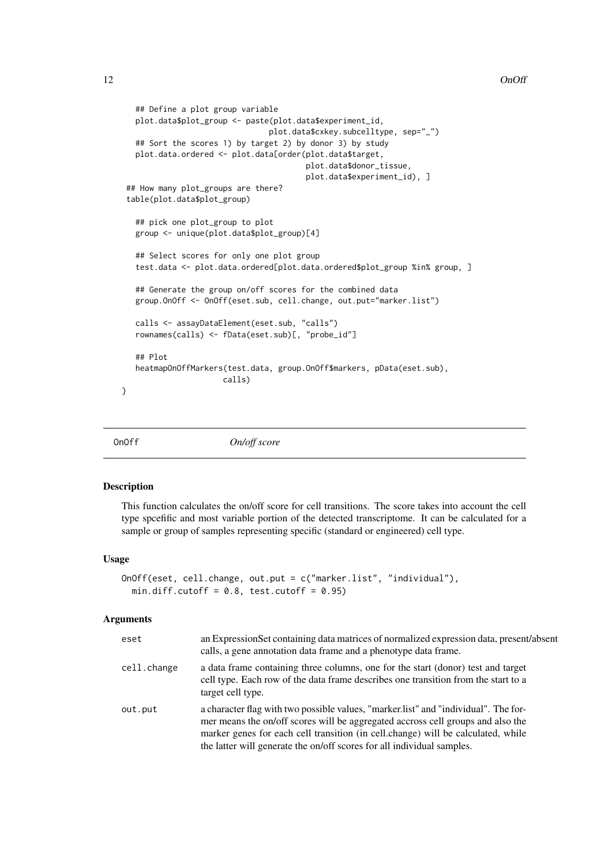```
## Define a plot group variable
   plot.data$plot_group <- paste(plot.data$experiment_id,
                                plot.data$cxkey.subcelltype, sep="_")
   ## Sort the scores 1) by target 2) by donor 3) by study
   plot.data.ordered <- plot.data[order(plot.data$target,
                                        plot.data$donor_tissue,
                                        plot.data$experiment_id), ]
 ## How many plot_groups are there?
 table(plot.data$plot_group)
   ## pick one plot_group to plot
   group <- unique(plot.data$plot_group)[4]
   ## Select scores for only one plot group
   test.data <- plot.data.ordered[plot.data.ordered$plot_group %in% group, ]
   ## Generate the group on/off scores for the combined data
   group.OnOff <- OnOff(eset.sub, cell.change, out.put="marker.list")
   calls <- assayDataElement(eset.sub, "calls")
   rownames(calls) <- fData(eset.sub)[, "probe_id"]
   ## Plot
   heatmapOnOffMarkers(test.data, group.OnOff$markers, pData(eset.sub),
                      calls)
}
```
<span id="page-11-1"></span>OnOff *On/off score*

#### Description

This function calculates the on/off score for cell transitions. The score takes into account the cell type spcefific and most variable portion of the detected transcriptome. It can be calculated for a sample or group of samples representing specific (standard or engineered) cell type.

#### Usage

```
OnOff(eset, cell.change, out.put = c("marker.list", "individual"),
 min.diff.cutoff = 0.8, test.cutoff = 0.95)
```
#### Arguments

| eset        | an Expression Set containing data matrices of normalized expression data, present/absent<br>calls, a gene annotation data frame and a phenotype data frame.                                                                                                                                                                          |
|-------------|--------------------------------------------------------------------------------------------------------------------------------------------------------------------------------------------------------------------------------------------------------------------------------------------------------------------------------------|
| cell.change | a data frame containing three columns, one for the start (donor) test and target<br>cell type. Each row of the data frame describes one transition from the start to a<br>target cell type.                                                                                                                                          |
| out.put     | a character flag with two possible values, "marker list" and "individual". The for-<br>mer means the on/off scores will be aggregated accross cell groups and also the<br>marker genes for each cell transition (in cell.change) will be calculated, while<br>the latter will generate the on/off scores for all individual samples. |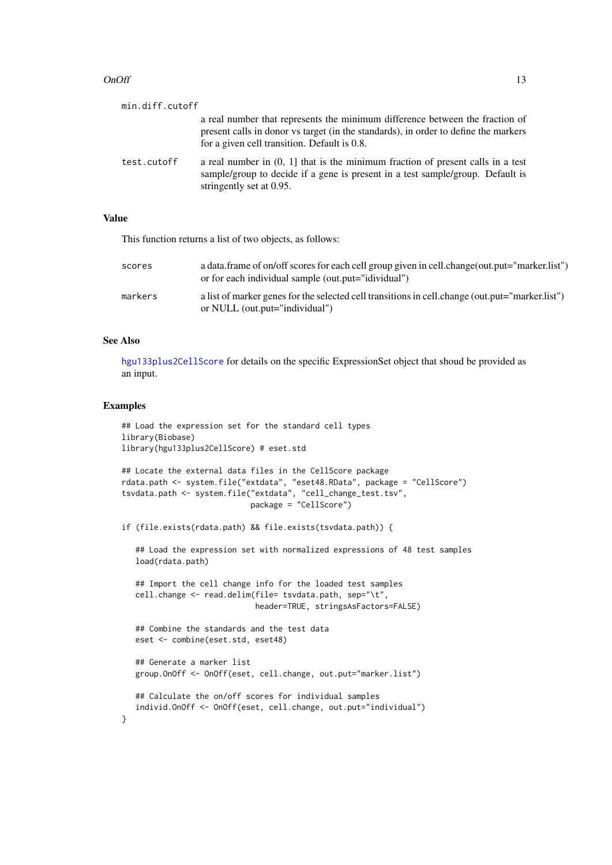#### <span id="page-12-0"></span> $On$  Off  $\blacksquare$  13

| min.diff.cutoff |                                                                                                                                                                                                                     |
|-----------------|---------------------------------------------------------------------------------------------------------------------------------------------------------------------------------------------------------------------|
|                 | a real number that represents the minimum difference between the fraction of<br>present calls in donor vs target (in the standards), in order to define the markers<br>for a given cell transition. Default is 0.8. |
| test.cutoff     | a real number in $(0, 1]$ that is the minimum fraction of present calls in a test<br>sample/group to decide if a gene is present in a test sample/group. Default is<br>stringently set at 0.95.                     |

# Value

This function returns a list of two objects, as follows:

| scores  | a data.frame of on/off scores for each cell group given in cell.change(out.put="marker.list")<br>or for each individual sample (out.put="idividual") |
|---------|------------------------------------------------------------------------------------------------------------------------------------------------------|
| markers | a list of marker genes for the selected cell transitions in cell.change (out.put="marker.list")<br>or NULL (out.put="individual")                    |

#### See Also

[hgu133plus2CellScore](#page-0-0) for details on the specific ExpressionSet object that shoud be provided as an input.

```
## Load the expression set for the standard cell types
library(Biobase)
library(hgu133plus2CellScore) # eset.std
## Locate the external data files in the CellScore package
rdata.path <- system.file("extdata", "eset48.RData", package = "CellScore")
tsvdata.path <- system.file("extdata", "cell_change_test.tsv",
                            package = "CellScore")
if (file.exists(rdata.path) && file.exists(tsvdata.path)) {
   ## Load the expression set with normalized expressions of 48 test samples
   load(rdata.path)
   ## Import the cell change info for the loaded test samples
   cell.change <- read.delim(file= tsvdata.path, sep="\t",
                             header=TRUE, stringsAsFactors=FALSE)
   ## Combine the standards and the test data
   eset <- combine(eset.std, eset48)
   ## Generate a marker list
   group.OnOff <- OnOff(eset, cell.change, out.put="marker.list")
   ## Calculate the on/off scores for individual samples
   individ.OnOff <- OnOff(eset, cell.change, out.put="individual")
}
```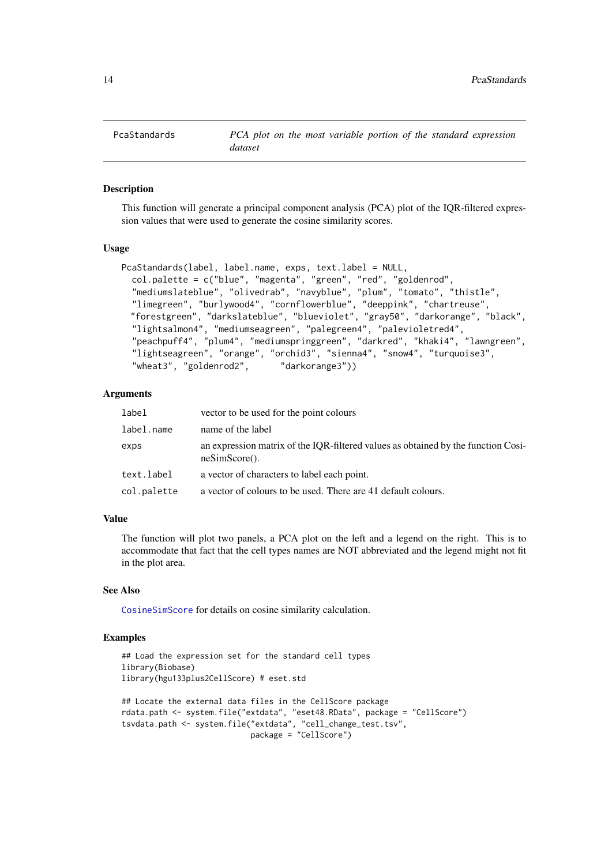<span id="page-13-0"></span>

#### Description

This function will generate a principal component analysis (PCA) plot of the IQR-filtered expression values that were used to generate the cosine similarity scores.

#### Usage

```
PcaStandards(label, label.name, exps, text.label = NULL,
  col.palette = c("blue", "magenta", "green", "red", "goldenrod",
  "mediumslateblue", "olivedrab", "navyblue", "plum", "tomato", "thistle",
  "limegreen", "burlywood4", "cornflowerblue", "deeppink", "chartreuse",
  "forestgreen", "darkslateblue", "blueviolet", "gray50", "darkorange", "black",
  "lightsalmon4", "mediumseagreen", "palegreen4", "palevioletred4",
  "peachpuff4", "plum4", "mediumspringgreen", "darkred", "khaki4", "lawngreen",
  "lightseagreen", "orange", "orchid3", "sienna4", "snow4", "turquoise3",
  "wheat3", "goldenrod2", "darkorange3"))
```
#### Arguments

| label       | vector to be used for the point colours                                                                      |
|-------------|--------------------------------------------------------------------------------------------------------------|
| label.name  | name of the label                                                                                            |
| exps        | an expression matrix of the IQR-filtered values as obtained by the function Cosi-<br>$\text{neSimScore}()$ . |
| text.label  | a vector of characters to label each point.                                                                  |
| col.palette | a vector of colours to be used. There are 41 default colours.                                                |
|             |                                                                                                              |

#### Value

The function will plot two panels, a PCA plot on the left and a legend on the right. This is to accommodate that fact that the cell types names are NOT abbreviated and the legend might not fit in the plot area.

#### See Also

[CosineSimScore](#page-6-1) for details on cosine similarity calculation.

```
## Load the expression set for the standard cell types
library(Biobase)
library(hgu133plus2CellScore) # eset.std
## Locate the external data files in the CellScore package
rdata.path <- system.file("extdata", "eset48.RData", package = "CellScore")
tsvdata.path <- system.file("extdata", "cell_change_test.tsv",
                            package = "CellScore")
```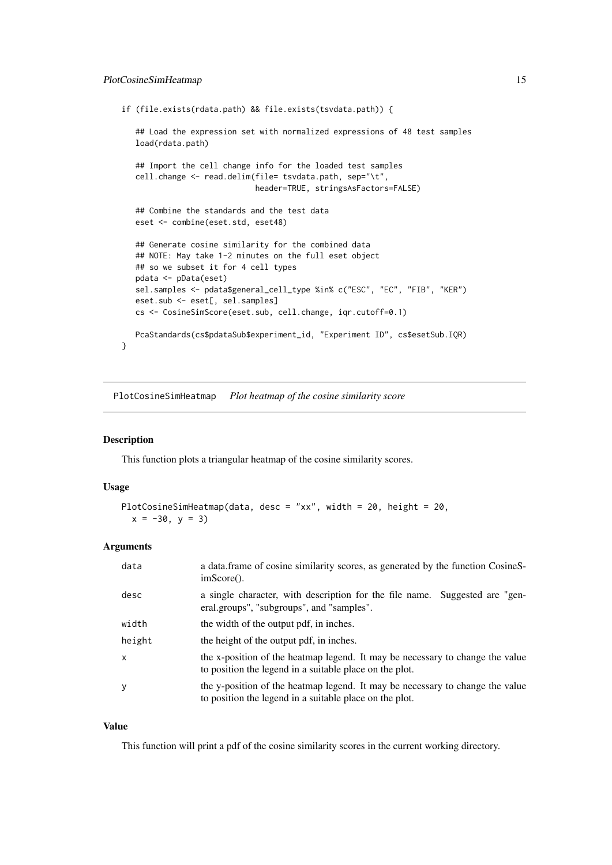```
if (file.exists(rdata.path) && file.exists(tsvdata.path)) {
   ## Load the expression set with normalized expressions of 48 test samples
   load(rdata.path)
   ## Import the cell change info for the loaded test samples
   cell.change <- read.delim(file= tsvdata.path, sep="\t",
                             header=TRUE, stringsAsFactors=FALSE)
   ## Combine the standards and the test data
   eset <- combine(eset.std, eset48)
   ## Generate cosine similarity for the combined data
   ## NOTE: May take 1-2 minutes on the full eset object
   ## so we subset it for 4 cell types
   pdata <- pData(eset)
   sel.samples <- pdata$general_cell_type %in% c("ESC", "EC", "FIB", "KER")
   eset.sub <- eset[, sel.samples]
   cs <- CosineSimScore(eset.sub, cell.change, iqr.cutoff=0.1)
   PcaStandards(cs$pdataSub$experiment_id, "Experiment ID", cs$esetSub.IQR)
}
```
PlotCosineSimHeatmap *Plot heatmap of the cosine similarity score*

#### Description

This function plots a triangular heatmap of the cosine similarity scores.

# Usage

```
PlotCosineSimHeatmap(data, desc = "xx", width = 20, height = 20,
 x = -30, y = 3
```
#### Arguments

| data   | a data frame of cosine similarity scores, as generated by the function CosineS-<br>$imScore()$ .                                         |
|--------|------------------------------------------------------------------------------------------------------------------------------------------|
| desc   | a single character, with description for the file name. Suggested are "gen-<br>eral.groups", "subgroups", and "samples".                 |
| width  | the width of the output pdf, in inches.                                                                                                  |
| height | the height of the output pdf, in inches.                                                                                                 |
| x      | the x-position of the heatmap legend. It may be necessary to change the value<br>to position the legend in a suitable place on the plot. |
|        | the y-position of the heatmap legend. It may be necessary to change the value<br>to position the legend in a suitable place on the plot. |

# Value

This function will print a pdf of the cosine similarity scores in the current working directory.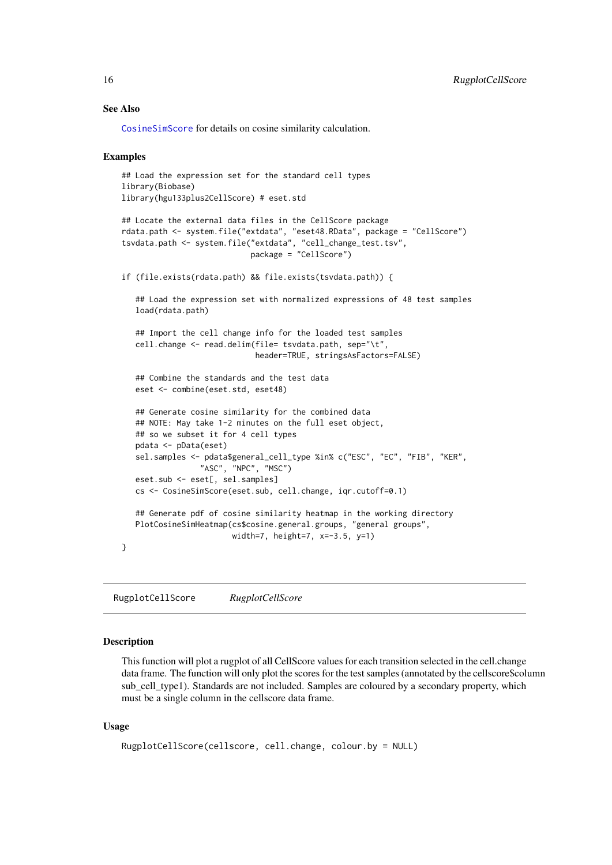#### See Also

[CosineSimScore](#page-6-1) for details on cosine similarity calculation.

#### Examples

```
## Load the expression set for the standard cell types
library(Biobase)
library(hgu133plus2CellScore) # eset.std
## Locate the external data files in the CellScore package
rdata.path <- system.file("extdata", "eset48.RData", package = "CellScore")
tsvdata.path <- system.file("extdata", "cell_change_test.tsv",
                            package = "CellScore")
if (file.exists(rdata.path) && file.exists(tsvdata.path)) {
   ## Load the expression set with normalized expressions of 48 test samples
   load(rdata.path)
   ## Import the cell change info for the loaded test samples
   cell.change <- read.delim(file= tsvdata.path, sep="\t",
                             header=TRUE, stringsAsFactors=FALSE)
   ## Combine the standards and the test data
   eset <- combine(eset.std, eset48)
   ## Generate cosine similarity for the combined data
   ## NOTE: May take 1-2 minutes on the full eset object,
   ## so we subset it for 4 cell types
   pdata <- pData(eset)
   sel.samples <- pdata$general_cell_type %in% c("ESC", "EC", "FIB", "KER",
                 "ASC", "NPC", "MSC")
   eset.sub <- eset[, sel.samples]
   cs <- CosineSimScore(eset.sub, cell.change, iqr.cutoff=0.1)
   ## Generate pdf of cosine similarity heatmap in the working directory
   PlotCosineSimHeatmap(cs$cosine.general.groups, "general groups",
                        width=7, height=7, x=-3.5, y=1)
}
```
RugplotCellScore *RugplotCellScore*

#### Description

This function will plot a rugplot of all CellScore values for each transition selected in the cell.change data frame. The function will only plot the scores for the test samples (annotated by the cellscore\$column sub\_cell\_type1). Standards are not included. Samples are coloured by a secondary property, which must be a single column in the cellscore data frame.

### Usage

```
RugplotCellScore(cellscore, cell.change, colour.by = NULL)
```
<span id="page-15-0"></span>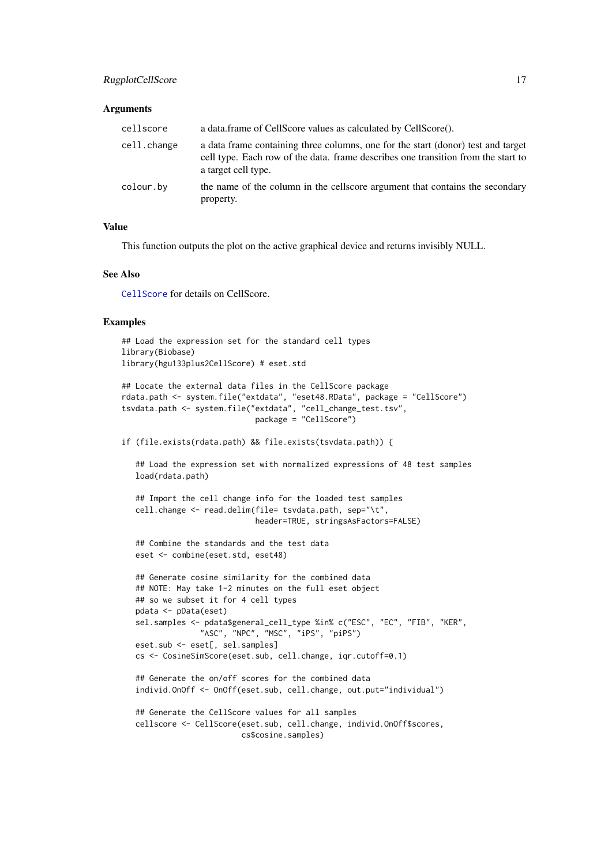#### <span id="page-16-0"></span>RugplotCellScore 17

#### Arguments

| cellscore   | a data.frame of CellScore values as calculated by CellScore().                                                                                                                               |
|-------------|----------------------------------------------------------------------------------------------------------------------------------------------------------------------------------------------|
| cell.change | a data frame containing three columns, one for the start (donor) test and target<br>cell type. Each row of the data, frame describes one transition from the start to<br>a target cell type. |
| colour.by   | the name of the column in the cellscore argument that contains the secondary<br>property.                                                                                                    |

#### Value

This function outputs the plot on the active graphical device and returns invisibly NULL.

### See Also

[CellScore](#page-3-1) for details on CellScore.

#### Examples

```
## Load the expression set for the standard cell types
library(Biobase)
library(hgu133plus2CellScore) # eset.std
```

```
## Locate the external data files in the CellScore package
rdata.path <- system.file("extdata", "eset48.RData", package = "CellScore")
tsvdata.path <- system.file("extdata", "cell_change_test.tsv",
                             package = "CellScore")
```
if (file.exists(rdata.path) && file.exists(tsvdata.path)) {

## Load the expression set with normalized expressions of 48 test samples load(rdata.path)

```
## Import the cell change info for the loaded test samples
cell.change <- read.delim(file= tsvdata.path, sep="\t",
                         header=TRUE, stringsAsFactors=FALSE)
```

```
## Combine the standards and the test data
eset <- combine(eset.std, eset48)
```

```
## Generate cosine similarity for the combined data
## NOTE: May take 1-2 minutes on the full eset object
## so we subset it for 4 cell types
pdata <- pData(eset)
sel.samples <- pdata$general_cell_type %in% c("ESC", "EC", "FIB", "KER",
              "ASC", "NPC", "MSC", "iPS", "piPS")
eset.sub <- eset[, sel.samples]
cs <- CosineSimScore(eset.sub, cell.change, iqr.cutoff=0.1)
```

```
## Generate the on/off scores for the combined data
individ.OnOff <- OnOff(eset.sub, cell.change, out.put="individual")
```

```
## Generate the CellScore values for all samples
cellscore <- CellScore(eset.sub, cell.change, individ.OnOff$scores,
                      cs$cosine.samples)
```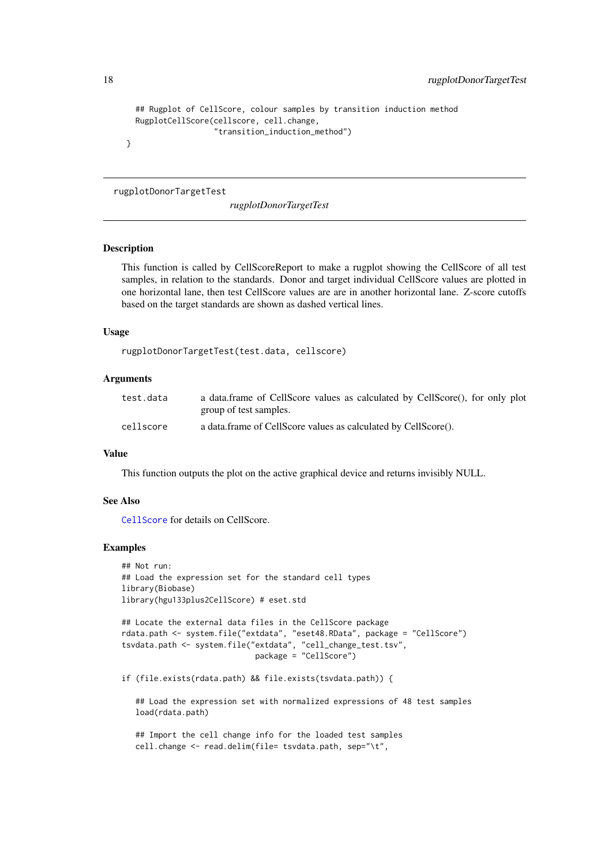```
## Rugplot of CellScore, colour samples by transition induction method
RugplotCellScore(cellscore, cell.change,
                 "transition_induction_method")
```
rugplotDonorTargetTest

*rugplotDonorTargetTest*

#### Description

}

This function is called by CellScoreReport to make a rugplot showing the CellScore of all test samples, in relation to the standards. Donor and target individual CellScore values are plotted in one horizontal lane, then test CellScore values are are in another horizontal lane. Z-score cutoffs based on the target standards are shown as dashed vertical lines.

# Usage

rugplotDonorTargetTest(test.data, cellscore)

# Arguments

| test.data | a data.frame of CellScore values as calculated by CellScore(), for only plot |
|-----------|------------------------------------------------------------------------------|
|           | group of test samples.                                                       |
| cellscore | a data.frame of CellScore values as calculated by CellScore().               |

# Value

This function outputs the plot on the active graphical device and returns invisibly NULL.

#### See Also

[CellScore](#page-3-1) for details on CellScore.

# Examples

```
## Not run:
## Load the expression set for the standard cell types
library(Biobase)
library(hgu133plus2CellScore) # eset.std
```

```
## Locate the external data files in the CellScore package
rdata.path <- system.file("extdata", "eset48.RData", package = "CellScore")
tsvdata.path <- system.file("extdata", "cell_change_test.tsv",
                             package = "CellScore")
```
if (file.exists(rdata.path) && file.exists(tsvdata.path)) {

## Load the expression set with normalized expressions of 48 test samples load(rdata.path)

## Import the cell change info for the loaded test samples cell.change <- read.delim(file= tsvdata.path, sep="\t",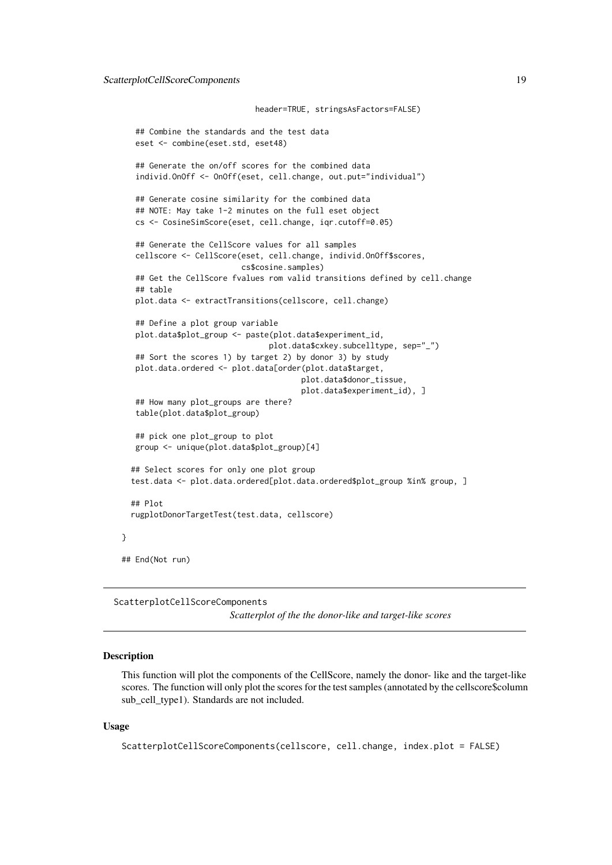```
header=TRUE, stringsAsFactors=FALSE)
   ## Combine the standards and the test data
   eset <- combine(eset.std, eset48)
   ## Generate the on/off scores for the combined data
   individ.OnOff <- OnOff(eset, cell.change, out.put="individual")
   ## Generate cosine similarity for the combined data
   ## NOTE: May take 1-2 minutes on the full eset object
   cs <- CosineSimScore(eset, cell.change, iqr.cutoff=0.05)
   ## Generate the CellScore values for all samples
   cellscore <- CellScore(eset, cell.change, individ.OnOff$scores,
                          cs$cosine.samples)
   ## Get the CellScore fvalues rom valid transitions defined by cell.change
   ## table
   plot.data <- extractTransitions(cellscore, cell.change)
   ## Define a plot group variable
   plot.data$plot_group <- paste(plot.data$experiment_id,
                                plot.data$cxkey.subcelltype, sep="_")
   ## Sort the scores 1) by target 2) by donor 3) by study
   plot.data.ordered <- plot.data[order(plot.data$target,
                                       plot.data$donor_tissue,
                                       plot.data$experiment_id), ]
   ## How many plot_groups are there?
   table(plot.data$plot_group)
   ## pick one plot_group to plot
   group <- unique(plot.data$plot_group)[4]
  ## Select scores for only one plot group
  test.data <- plot.data.ordered[plot.data.ordered$plot_group %in% group, ]
  ## Plot
  rugplotDonorTargetTest(test.data, cellscore)
## End(Not run)
```
ScatterplotCellScoreComponents

*Scatterplot of the the donor-like and target-like scores*

#### Description

}

This function will plot the components of the CellScore, namely the donor- like and the target-like scores. The function will only plot the scores for the test samples (annotated by the cellscore\$column sub\_cell\_type1). Standards are not included.

# Usage

```
ScatterplotCellScoreComponents(cellscore, cell.change, index.plot = FALSE)
```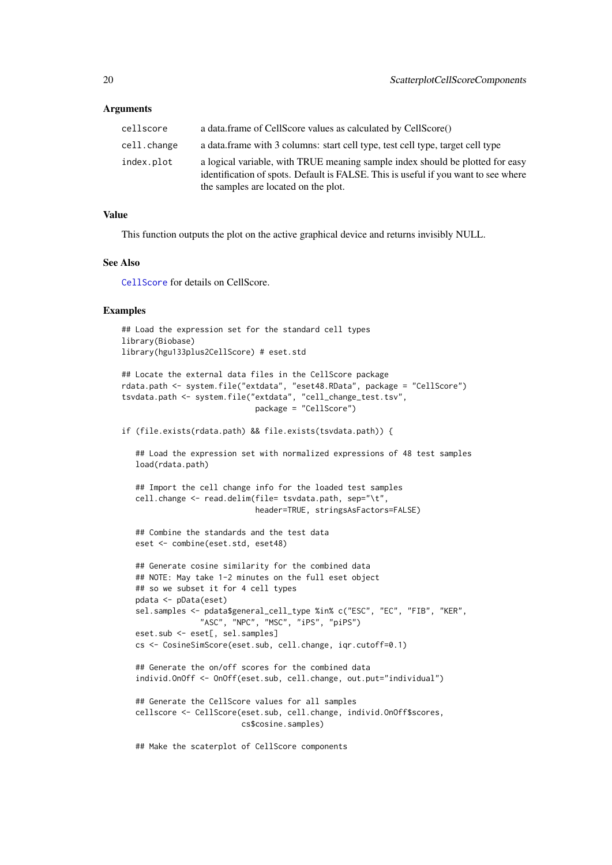#### <span id="page-19-0"></span>Arguments

| cellscore   | a data.frame of CellScore values as calculated by CellScore()                                                                                                                                               |
|-------------|-------------------------------------------------------------------------------------------------------------------------------------------------------------------------------------------------------------|
| cell.change | a data. frame with 3 columns: start cell type, test cell type, target cell type                                                                                                                             |
| index.plot  | a logical variable, with TRUE meaning sample index should be plotted for easy<br>identification of spots. Default is FALSE. This is useful if you want to see where<br>the samples are located on the plot. |

# Value

This function outputs the plot on the active graphical device and returns invisibly NULL.

# See Also

[CellScore](#page-3-1) for details on CellScore.

#### Examples

```
## Load the expression set for the standard cell types
library(Biobase)
library(hgu133plus2CellScore) # eset.std
```

```
## Locate the external data files in the CellScore package
rdata.path <- system.file("extdata", "eset48.RData", package = "CellScore")
tsvdata.path <- system.file("extdata", "cell_change_test.tsv",
                             package = "CellScore")
```
if (file.exists(rdata.path) && file.exists(tsvdata.path)) {

## Load the expression set with normalized expressions of 48 test samples load(rdata.path)

```
## Import the cell change info for the loaded test samples
cell.change <- read.delim(file= tsvdata.path, sep="\t",
                         header=TRUE, stringsAsFactors=FALSE)
```

```
## Combine the standards and the test data
eset <- combine(eset.std, eset48)
```

```
## Generate cosine similarity for the combined data
## NOTE: May take 1-2 minutes on the full eset object
## so we subset it for 4 cell types
pdata <- pData(eset)
sel.samples <- pdata$general_cell_type %in% c("ESC", "EC", "FIB", "KER",
              "ASC", "NPC", "MSC", "iPS", "piPS")
eset.sub <- eset[, sel.samples]
cs <- CosineSimScore(eset.sub, cell.change, iqr.cutoff=0.1)
```

```
## Generate the on/off scores for the combined data
individ.OnOff <- OnOff(eset.sub, cell.change, out.put="individual")
```

```
## Generate the CellScore values for all samples
cellscore <- CellScore(eset.sub, cell.change, individ.OnOff$scores,
                       cs$cosine.samples)
```
## Make the scaterplot of CellScore components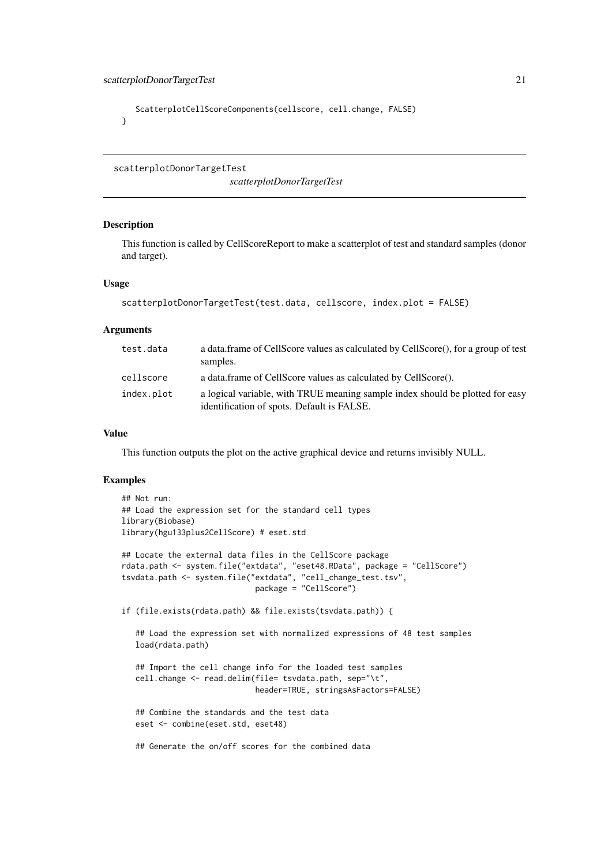```
ScatterplotCellScoreComponents(cellscore, cell.change, FALSE)
}
```
scatterplotDonorTargetTest

*scatterplotDonorTargetTest*

#### Description

This function is called by CellScoreReport to make a scatterplot of test and standard samples (donor and target).

# Usage

```
scatterplotDonorTargetTest(test.data, cellscore, index.plot = FALSE)
```
#### Arguments

| test.data  | a data. frame of CellScore values as calculated by CellScore(), for a group of test<br>samples.                             |
|------------|-----------------------------------------------------------------------------------------------------------------------------|
| cellscore  | a data.frame of CellScore values as calculated by CellScore().                                                              |
| index.plot | a logical variable, with TRUE meaning sample index should be plotted for easy<br>identification of spots. Default is FALSE. |

# Value

This function outputs the plot on the active graphical device and returns invisibly NULL.

```
## Not run:
## Load the expression set for the standard cell types
library(Biobase)
library(hgu133plus2CellScore) # eset.std
## Locate the external data files in the CellScore package
rdata.path <- system.file("extdata", "eset48.RData", package = "CellScore")
tsvdata.path <- system.file("extdata", "cell_change_test.tsv",
                             package = "CellScore")
if (file.exists(rdata.path) && file.exists(tsvdata.path)) {
   ## Load the expression set with normalized expressions of 48 test samples
   load(rdata.path)
   ## Import the cell change info for the loaded test samples
   cell.change <- read.delim(file= tsvdata.path, sep="\t",
                             header=TRUE, stringsAsFactors=FALSE)
   ## Combine the standards and the test data
   eset <- combine(eset.std, eset48)
   ## Generate the on/off scores for the combined data
```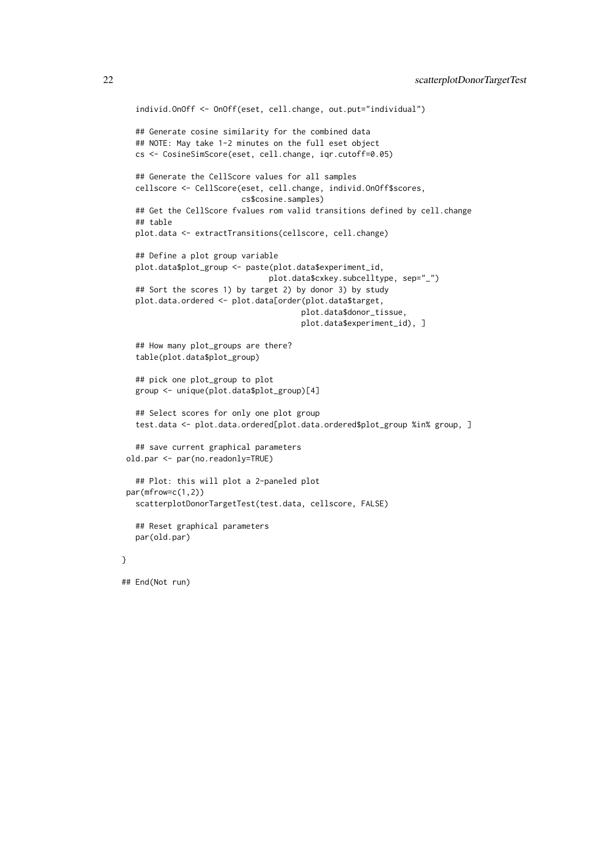```
individ.OnOff <- OnOff(eset, cell.change, out.put="individual")
  ## Generate cosine similarity for the combined data
  ## NOTE: May take 1-2 minutes on the full eset object
  cs <- CosineSimScore(eset, cell.change, iqr.cutoff=0.05)
  ## Generate the CellScore values for all samples
  cellscore <- CellScore(eset, cell.change, individ.OnOff$scores,
                        cs$cosine.samples)
  ## Get the CellScore fvalues rom valid transitions defined by cell.change
  ## table
  plot.data <- extractTransitions(cellscore, cell.change)
  ## Define a plot group variable
  plot.data$plot_group <- paste(plot.data$experiment_id,
                               plot.data$cxkey.subcelltype, sep="_")
  ## Sort the scores 1) by target 2) by donor 3) by study
  plot.data.ordered <- plot.data[order(plot.data$target,
                                      plot.data$donor_tissue,
                                      plot.data$experiment_id), ]
  ## How many plot_groups are there?
  table(plot.data$plot_group)
  ## pick one plot_group to plot
  group <- unique(plot.data$plot_group)[4]
  ## Select scores for only one plot group
  test.data <- plot.data.ordered[plot.data.ordered$plot_group %in% group, ]
  ## save current graphical parameters
old.par <- par(no.readonly=TRUE)
  ## Plot: this will plot a 2-paneled plot
par(mfrow=c(1,2))
  scatterplotDonorTargetTest(test.data, cellscore, FALSE)
  ## Reset graphical parameters
  par(old.par)
```
## End(Not run)

}